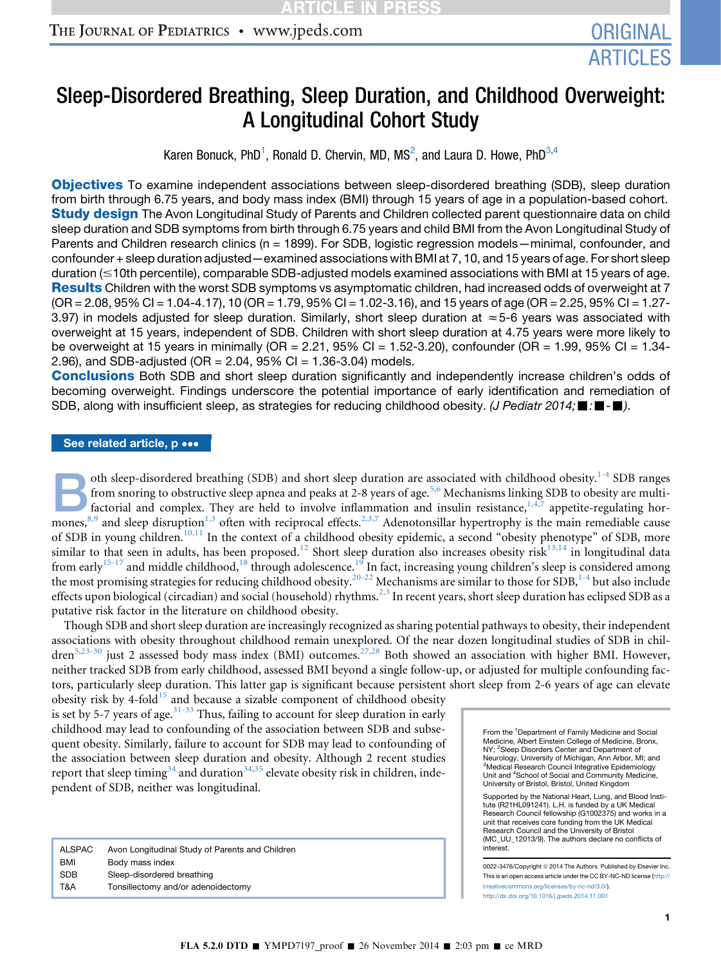# Sleep-Disordered Breathing, Sleep Duration, and Childhood Overweight: A Longitudinal Cohort Study

Karen Bonuck, PhD<sup>1</sup>, Ronald D. Chervin, MD, MS<sup>2</sup>, and Laura D. Howe, PhD $^{3,4}$ 

**Objectives** To examine independent associations between sleep-disordered breathing (SDB), sleep duration from birth through 6.75 years, and body mass index (BMI) through 15 years of age in a population-based cohort. **Study design** The Avon Longitudinal Study of Parents and Children collected parent questionnaire data on child sleep duration and SDB symptoms from birth through 6.75 years and child BMI from the Avon Longitudinal Study of Parents and Children research clinics (n = 1899). For SDB, logistic regression models—minimal, confounder, and confounder + sleep duration adjusted—examined associations with BMI at 7, 10, and 15 years of age. For short sleep duration (#10th percentile), comparable SDB-adjusted models examined associations with BMI at 15 years of age. Results Children with the worst SDB symptoms vs asymptomatic children, had increased odds of overweight at 7 (OR = 2.08, 95% CI = 1.04-4.17), 10 (OR = 1.79, 95% CI = 1.02-3.16), and 15 years of age (OR = 2.25, 95% CI = 1.27- 3.97) in models adjusted for sleep duration. Similarly, short sleep duration at  $\approx$  5-6 years was associated with overweight at 15 years, independent of SDB. Children with short sleep duration at 4.75 years were more likely to be overweight at 15 years in minimally (OR = 2.21, 95% CI = 1.52-3.20), confounder (OR = 1.99, 95% CI = 1.34- 2.96), and SDB-adjusted (OR =  $2.04$ , 95% CI = 1.36-3.04) models.

Conclusions Both SDB and short sleep duration significantly and independently increase children's odds of becoming overweight. Findings underscore the potential importance of early identification and remediation of SDB, along with insufficient sleep, as strategies for reducing childhood obesity. *(J Pediatr 2014;*  $\blacksquare$ :  $\blacksquare$ ).

#### See related article, p •••

oth sleep-disordered breathing (SDB) and short sleep duration are associated with childhood obesity.<sup>[1-4](#page-6-0)</sup> SDB ranges<br>from snoring to obstructive sleep apnea and peaks at 2-8 years of age.<sup>5,6</sup> Mechanisms linking SDB to ob from snoring to obstructive sleep apnea and peaks at 2-8 years of age.<sup>[5,6](#page-6-0)</sup> Mechanisms linking SDB to obesity are multi-mones,<sup>[8,9](#page-6-0)</sup> and sleep disruption<sup>[1,3](#page-6-0)</sup> often with reciprocal effects.<sup>2,3,7</sup> Adenotonsillar hypertrophy is the main remediable cause of SDB in young children.<sup>[10,11](#page-6-0)</sup> In the context of a childhood obesity epidemic, a second "obesity phenotype" of SDB, more similar to that seen in adults, has been proposed.<sup>[12](#page-6-0)</sup> Short sleep duration also increases obesity risk<sup>[13,14](#page-6-0)</sup> in longitudinal data from early<sup>[15-17](#page-6-0)</sup> and middle childhood,<sup>[18](#page-6-0)</sup> through adolescence.<sup>[19](#page-6-0)</sup> In fact, increasing young children's sleep is considered among the most promising strategies for reducing childhood obesity.<sup>[20-22](#page-6-0)</sup> Mechanisms are similar to those for SDB,<sup>[1-4](#page-6-0)</sup> but also include effects upon biological (circadian) and social (household) rhythms.<sup>[2,3](#page-6-0)</sup> In recent years, short sleep duration has eclipsed SDB as a putative risk factor in the literature on childhood obesity.

Though SDB and short sleep duration are increasingly recognized as sharing potential pathways to obesity, their independent associations with obesity throughout childhood remain unexplored. Of the near dozen longitudinal studies of SDB in chil-dren<sup>[5,23-30](#page-6-0)</sup> just 2 assessed body mass index (BMI) outcomes.<sup>[27,28](#page-7-0)</sup> Both showed an association with higher BMI. However, neither tracked SDB from early childhood, assessed BMI beyond a single follow-up, or adjusted for multiple confounding factors, particularly sleep duration. This latter gap is significant because persistent short sleep from 2-6 years of age can elevate

obesity risk by 4-fold<sup>[15](#page-6-0)</sup> and because a sizable component of childhood obesity is set by 5-7 years of age.  $31-33$  Thus, failing to account for sleep duration in early childhood may lead to confounding of the association between SDB and subsequent obesity. Similarly, failure to account for SDB may lead to confounding of the association between sleep duration and obesity. Although 2 recent studies report that sleep timing<sup>[34](#page-7-0)</sup> and duration<sup>34,35</sup> elevate obesity risk in children, independent of SDB, neither was longitudinal.

| ALSPAC     | Avon Longitudinal Study of Parents and Children |
|------------|-------------------------------------------------|
| BMI        | Body mass index                                 |
| <b>SDB</b> | Sleep-disordered breathing                      |
| T&A        | Tonsillectomy and/or adenoidectomy              |

From the <sup>1</sup>Department of Family Medicine and Social Medicine, Albert Einstein College of Medicine, Bronx,<br>NY; <sup>2</sup>Sleep Disorders Center and Department of Neurology, University of Michigan, Ann Arbor, MI; and <sup>3</sup>Medical Research Council Integrative Epidemiology<br>Unit and <sup>4</sup>School of Social and Community Medicine, University of Bristol, Bristol, United Kingdom

Supported by the National Heart, Lung, and Blood Institute (R21HL091241). L.H. is funded by a UK Medical Research Council fellowship (G1002375) and works in a unit that receives core funding from the UK Medical Research Council and the University of Bristol (MC\_UU\_12013/9). The authors declare no conflicts of interest.

0022-3476/Copyright © 2014 The Authors. Published by Elsevier Inc. This is an open access article under the CC BY-NC-ND license [\(http://](http://creativecommons.org/licenses/by-nc-nd/3.0/) [creativecommons.org/licenses/by-nc-nd/3.0/\)](http://creativecommons.org/licenses/by-nc-nd/3.0/). <http://dx.doi.org/10.1016/j.jpeds.2014.11.001>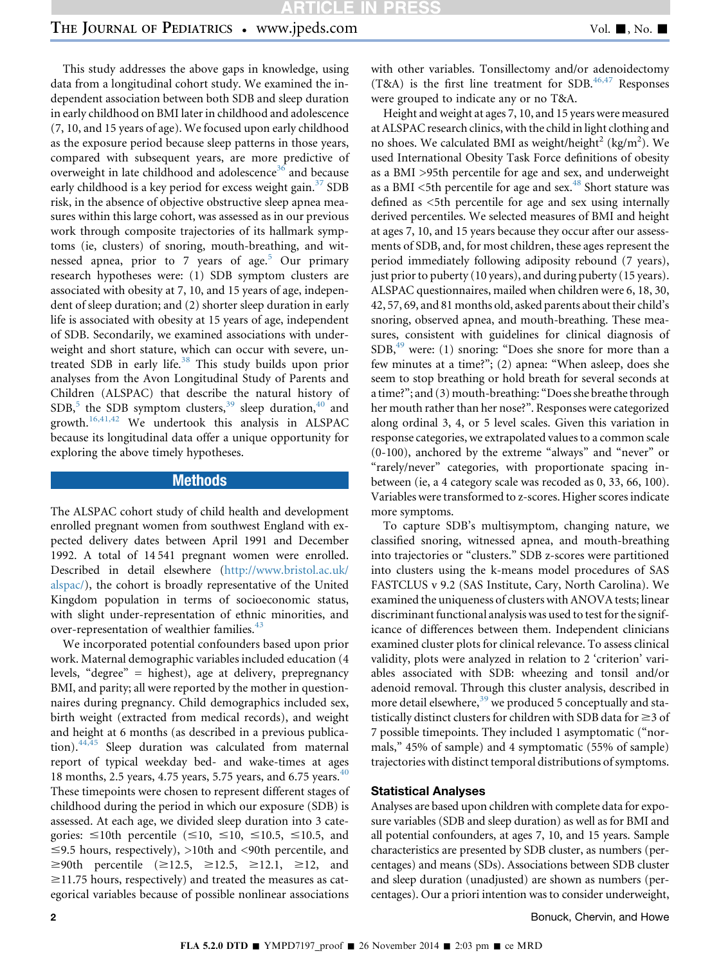# THE JOURNAL OF PEDIATRICS • www.jpeds.com Vol. 1, No. 1

This study addresses the above gaps in knowledge, using data from a longitudinal cohort study. We examined the independent association between both SDB and sleep duration in early childhood on BMI later in childhood and adolescence (7, 10, and 15 years of age). We focused upon early childhood as the exposure period because sleep patterns in those years, compared with subsequent years, are more predictive of overweight in late childhood and adolescence<sup>[36](#page-7-0)</sup> and because early childhood is a key period for excess weight gain. $37$  SDB risk, in the absence of objective obstructive sleep apnea measures within this large cohort, was assessed as in our previous work through composite trajectories of its hallmark symptoms (ie, clusters) of snoring, mouth-breathing, and wit-nessed apnea, prior to 7 years of age.<sup>[5](#page-6-0)</sup> Our primary research hypotheses were: (1) SDB symptom clusters are associated with obesity at 7, 10, and 15 years of age, independent of sleep duration; and (2) shorter sleep duration in early life is associated with obesity at 15 years of age, independent of SDB. Secondarily, we examined associations with underweight and short stature, which can occur with severe, un-treated SDB in early life.<sup>[38](#page-7-0)</sup> This study builds upon prior analyses from the Avon Longitudinal Study of Parents and Children (ALSPAC) that describe the natural history of  $SDB$ ,<sup>[5](#page-6-0)</sup> the SDB symptom clusters,<sup>[39](#page-7-0)</sup> sleep duration,<sup>[40](#page-7-0)</sup> and growth.[16,41,42](#page-6-0) We undertook this analysis in ALSPAC because its longitudinal data offer a unique opportunity for exploring the above timely hypotheses.

### Methods

The ALSPAC cohort study of child health and development enrolled pregnant women from southwest England with expected delivery dates between April 1991 and December 1992. A total of 14 541 pregnant women were enrolled. Described in detail elsewhere [\(http://www.bristol.ac.uk/](http://www.bristol.ac.uk/alspac/) [alspac/](http://www.bristol.ac.uk/alspac/)), the cohort is broadly representative of the United Kingdom population in terms of socioeconomic status, with slight under-representation of ethnic minorities, and over-representation of wealthier families.<sup>[43](#page-7-0)</sup>

We incorporated potential confounders based upon prior work. Maternal demographic variables included education (4 levels, "degree" = highest), age at delivery, prepregnancy BMI, and parity; all were reported by the mother in questionnaires during pregnancy. Child demographics included sex, birth weight (extracted from medical records), and weight and height at 6 months (as described in a previous publication).[44,45](#page-7-0) Sleep duration was calculated from maternal report of typical weekday bed- and wake-times at ages 18 months, 2.5 years, 4.75 years, 5.75 years, and 6.75 years.<sup>[40](#page-7-0)</sup> These timepoints were chosen to represent different stages of childhood during the period in which our exposure (SDB) is assessed. At each age, we divided sleep duration into 3 categories:  $\leq 10$ th percentile ( $\leq 10$ ,  $\leq 10$ ,  $\leq 10.5$ ,  $\leq 10.5$ , and  $\leq$ 9.5 hours, respectively), >10th and <90th percentile, and  $\geq 90$ th percentile ( $\geq 12.5$ ,  $\geq 12.5$ ,  $\geq 12.1$ ,  $\geq 12$ , and  $\ge$ 11.75 hours, respectively) and treated the measures as categorical variables because of possible nonlinear associations

with other variables. Tonsillectomy and/or adenoidectomy (T&A) is the first line treatment for SDB.<sup>[46,47](#page-7-0)</sup> Responses were grouped to indicate any or no T&A.

Height and weight at ages 7, 10, and 15 years were measured at ALSPAC research clinics, with the child in light clothing and no shoes. We calculated BMI as weight/height $^2$  (kg/m<sup>2</sup>). We used International Obesity Task Force definitions of obesity as a BMI >95th percentile for age and sex, and underweight as a BMI  $\le$ 5th percentile for age and sex.<sup>[48](#page-7-0)</sup> Short stature was defined as <5th percentile for age and sex using internally derived percentiles. We selected measures of BMI and height at ages 7, 10, and 15 years because they occur after our assessments of SDB, and, for most children, these ages represent the period immediately following adiposity rebound (7 years), just prior to puberty (10 years), and during puberty (15 years). ALSPAC questionnaires, mailed when children were 6, 18, 30, 42, 57, 69, and 81 months old, asked parents about their child's snoring, observed apnea, and mouth-breathing. These measures, consistent with guidelines for clinical diagnosis of  $SDB<sup>49</sup>$  were: (1) snoring: "Does she snore for more than a few minutes at a time?"; (2) apnea: "When asleep, does she seem to stop breathing or hold breath for several seconds at a time?"; and (3) mouth-breathing: "Does she breathe through her mouth rather than her nose?". Responses were categorized along ordinal 3, 4, or 5 level scales. Given this variation in response categories, we extrapolated values to a common scale (0-100), anchored by the extreme "always" and "never" or "rarely/never" categories, with proportionate spacing inbetween (ie, a 4 category scale was recoded as 0, 33, 66, 100). Variables were transformed to z-scores. Higher scores indicate more symptoms.

To capture SDB's multisymptom, changing nature, we classified snoring, witnessed apnea, and mouth-breathing into trajectories or "clusters." SDB z-scores were partitioned into clusters using the k-means model procedures of SAS FASTCLUS v 9.2 (SAS Institute, Cary, North Carolina). We examined the uniqueness of clusters with ANOVA tests; linear discriminant functional analysis was used to test for the significance of differences between them. Independent clinicians examined cluster plots for clinical relevance. To assess clinical validity, plots were analyzed in relation to 2 'criterion' variables associated with SDB: wheezing and tonsil and/or adenoid removal. Through this cluster analysis, described in more detail elsewhere,<sup>[39](#page-7-0)</sup> we produced 5 conceptually and statistically distinct clusters for children with SDB data for  $\geq$ 3 of 7 possible timepoints. They included 1 asymptomatic ("normals," 45% of sample) and 4 symptomatic (55% of sample) trajectories with distinct temporal distributions of symptoms.

#### Statistical Analyses

Analyses are based upon children with complete data for exposure variables (SDB and sleep duration) as well as for BMI and all potential confounders, at ages 7, 10, and 15 years. Sample characteristics are presented by SDB cluster, as numbers (percentages) and means (SDs). Associations between SDB cluster and sleep duration (unadjusted) are shown as numbers (percentages). Our a priori intention was to consider underweight,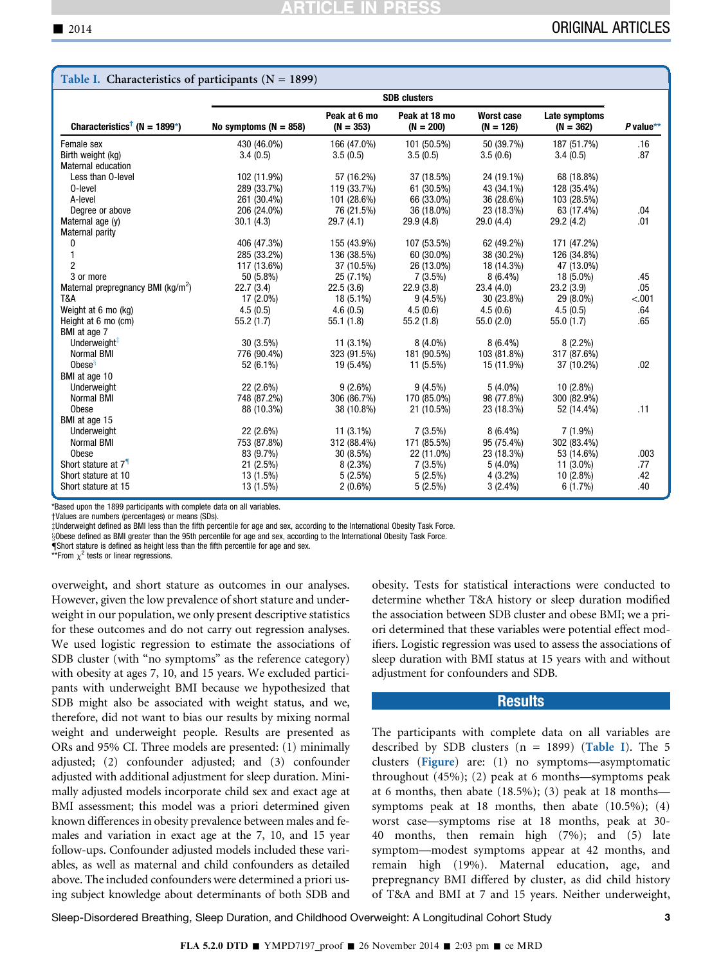| Table I. Characteristics of participants ( $N = 1899$ ) |                         |                             |                              |                                  |                              |           |
|---------------------------------------------------------|-------------------------|-----------------------------|------------------------------|----------------------------------|------------------------------|-----------|
|                                                         | <b>SDB</b> clusters     |                             |                              |                                  |                              |           |
| Characteristics <sup>†</sup> (N = 1899*)                | No symptoms $(N = 858)$ | Peak at 6 mo<br>$(N = 353)$ | Peak at 18 mo<br>$(N = 200)$ | <b>Worst case</b><br>$(N = 126)$ | Late symptoms<br>$(N = 362)$ | P value** |
| Female sex                                              | 430 (46.0%)             | 166 (47.0%)                 | 101 (50.5%)                  | 50 (39.7%)                       | 187 (51.7%)                  | .16       |
| Birth weight (kg)                                       | 3.4(0.5)                | 3.5(0.5)                    | 3.5(0.5)                     | 3.5(0.6)                         | 3.4(0.5)                     | .87       |
| <b>Maternal education</b>                               |                         |                             |                              |                                  |                              |           |
| Less than 0-level                                       | 102 (11.9%)             | 57 (16.2%)                  | 37 (18.5%)                   | 24 (19.1%)                       | 68 (18.8%)                   |           |
| 0-level                                                 | 289 (33.7%)             | 119 (33.7%)                 | 61 (30.5%)                   | 43 (34.1%)                       | 128 (35.4%)                  |           |
| A-level                                                 | 261 (30.4%)             | 101 (28.6%)                 | 66 (33.0%)                   | 36 (28.6%)                       | 103 (28.5%)                  |           |
| Degree or above                                         | 206 (24.0%)             | 76 (21.5%)                  | 36 (18.0%)                   | 23 (18.3%)                       | 63 (17.4%)                   | .04       |
| Maternal age (y)                                        | 30.1(4.3)               | 29.7(4.1)                   | 29.9(4.8)                    | 29.0(4.4)                        | 29.2 (4.2)                   | .01       |
| Maternal parity                                         |                         |                             |                              |                                  |                              |           |
| 0                                                       | 406 (47.3%)             | 155 (43.9%)                 | 107 (53.5%)                  | 62 (49.2%)                       | 171 (47.2%)                  |           |
| $\mathbf{1}$                                            | 285 (33.2%)             | 136 (38.5%)                 | 60 (30.0%)                   | 38 (30.2%)                       | 126 (34.8%)                  |           |
| $\overline{2}$                                          | 117 (13.6%)             | 37 (10.5%)                  | 26 (13.0%)                   | 18 (14.3%)                       | 47 (13.0%)                   |           |
| 3 or more                                               | 50 (5.8%)               | $25(7.1\%)$                 | $7(3.5\%)$                   | $8(6.4\%)$                       | 18 (5.0%)                    | .45       |
| Maternal prepregnancy BMI (kg/m <sup>2</sup> )          | 22.7(3.4)               | 22.5(3.6)                   | 22.9(3.8)                    | 23.4(4.0)                        | 23.2(3.9)                    | .05       |
| T&A                                                     | 17 (2.0%)               | 18 (5.1%)                   | $9(4.5\%)$                   | 30 (23.8%)                       | 29 (8.0%)                    | < .001    |
| Weight at 6 mo (kg)                                     | 4.5(0.5)                | 4.6(0.5)                    | 4.5(0.6)                     | 4.5(0.6)                         | 4.5(0.5)                     | .64       |
| Height at 6 mo (cm)                                     | 55.2(1.7)               | 55.1(1.8)                   | 55.2(1.8)                    | 55.0(2.0)                        | 55.0(1.7)                    | .65       |
| BMI at age 7                                            |                         |                             |                              |                                  |                              |           |
| Underweight <sup>#</sup>                                | $30(3.5\%)$             | $11(3.1\%)$                 | $8(4.0\%)$                   | $8(6.4\%)$                       | $8(2.2\%)$                   |           |
| <b>Normal BMI</b>                                       | 776 (90.4%)             | 323 (91.5%)                 | 181 (90.5%)                  | 103 (81.8%)                      | 317 (87.6%)                  |           |
| Obese <sup>s</sup>                                      | 52 (6.1%)               | 19 (5.4%)                   | 11 (5.5%)                    | 15 (11.9%)                       | 37 (10.2%)                   | .02       |
| BMI at age 10                                           |                         |                             |                              |                                  |                              |           |
| Underweight                                             | 22 (2.6%)               | $9(2.6\%)$                  | $9(4.5\%)$                   | $5(4.0\%)$                       | $10(2.8\%)$                  |           |
| Normal BMI                                              | 748 (87.2%)             | 306 (86.7%)                 | 170 (85.0%)                  | 98 (77.8%)                       | 300 (82.9%)                  |           |
| <b>Obese</b>                                            | 88 (10.3%)              | 38 (10.8%)                  | 21 (10.5%)                   | 23 (18.3%)                       | 52 (14.4%)                   | .11       |
| BMI at age 15                                           |                         |                             |                              |                                  |                              |           |
| Underweight                                             | 22 (2.6%)               | $11(3.1\%)$                 | $7(3.5\%)$                   | $8(6.4\%)$                       | $7(1.9\%)$                   |           |
| Normal BMI                                              | 753 (87.8%)             | 312 (88.4%)                 | 171 (85.5%)                  | 95 (75.4%)                       | 302 (83.4%)                  |           |
| Obese                                                   | 83 (9.7%)               | $30(8.5\%)$                 | 22 (11.0%)                   | 23 (18.3%)                       | 53 (14.6%)                   | .003      |
| Short stature at 7 <sup>1</sup>                         | 21 (2.5%)               | $8(2.3\%)$                  | $7(3.5\%)$                   | $5(4.0\%)$                       | 11 (3.0%)                    | .77       |
| Short stature at 10                                     | 13 (1.5%)               | 5(2.5%)                     | 5(2.5%)                      | $4(3.2\%)$                       | $10(2.8\%)$                  | .42       |
| Short stature at 15                                     | 13 (1.5%)               | $2(0.6\%)$                  | 5(2.5%)                      | $3(2.4\%)$                       | 6(1.7%)                      | .40       |

\*Based upon the 1899 participants with complete data on all variables.

†Values are numbers (percentages) or means (SDs).

zUnderweight defined as BMI less than the fifth percentile for age and sex, according to the International Obesity Task Force.

xObese defined as BMI greater than the 95th percentile for age and sex, according to the International Obesity Task Force.

**Short stature is defined as height less than the fifth percentile for age and sex.** 

\*\*From  $\chi^2$  tests or linear regressions.

overweight, and short stature as outcomes in our analyses. However, given the low prevalence of short stature and underweight in our population, we only present descriptive statistics for these outcomes and do not carry out regression analyses. We used logistic regression to estimate the associations of SDB cluster (with "no symptoms" as the reference category) with obesity at ages 7, 10, and 15 years. We excluded participants with underweight BMI because we hypothesized that SDB might also be associated with weight status, and we, therefore, did not want to bias our results by mixing normal weight and underweight people. Results are presented as ORs and 95% CI. Three models are presented: (1) minimally adjusted; (2) confounder adjusted; and (3) confounder adjusted with additional adjustment for sleep duration. Minimally adjusted models incorporate child sex and exact age at BMI assessment; this model was a priori determined given known differences in obesity prevalence between males and females and variation in exact age at the 7, 10, and 15 year follow-ups. Confounder adjusted models included these variables, as well as maternal and child confounders as detailed above. The included confounders were determined a priori using subject knowledge about determinants of both SDB and

obesity. Tests for statistical interactions were conducted to determine whether T&A history or sleep duration modified the association between SDB cluster and obese BMI; we a priori determined that these variables were potential effect modifiers. Logistic regression was used to assess the associations of sleep duration with BMI status at 15 years with and without adjustment for confounders and SDB.

#### Results

The participants with complete data on all variables are described by SDB clusters  $(n = 1899)$  (Table I). The 5 clusters ([Figure](#page-3-0)) are: (1) no symptoms—asymptomatic throughout (45%); (2) peak at 6 months—symptoms peak at 6 months, then abate (18.5%); (3) peak at 18 months symptoms peak at 18 months, then abate  $(10.5\%)$ ;  $(4)$ worst case—symptoms rise at 18 months, peak at 30- 40 months, then remain high (7%); and (5) late symptom—modest symptoms appear at 42 months, and remain high (19%). Maternal education, age, and prepregnancy BMI differed by cluster, as did child history of T&A and BMI at 7 and 15 years. Neither underweight,

Sleep-Disordered Breathing, Sleep Duration, and Childhood Overweight: A Longitudinal Cohort Study 3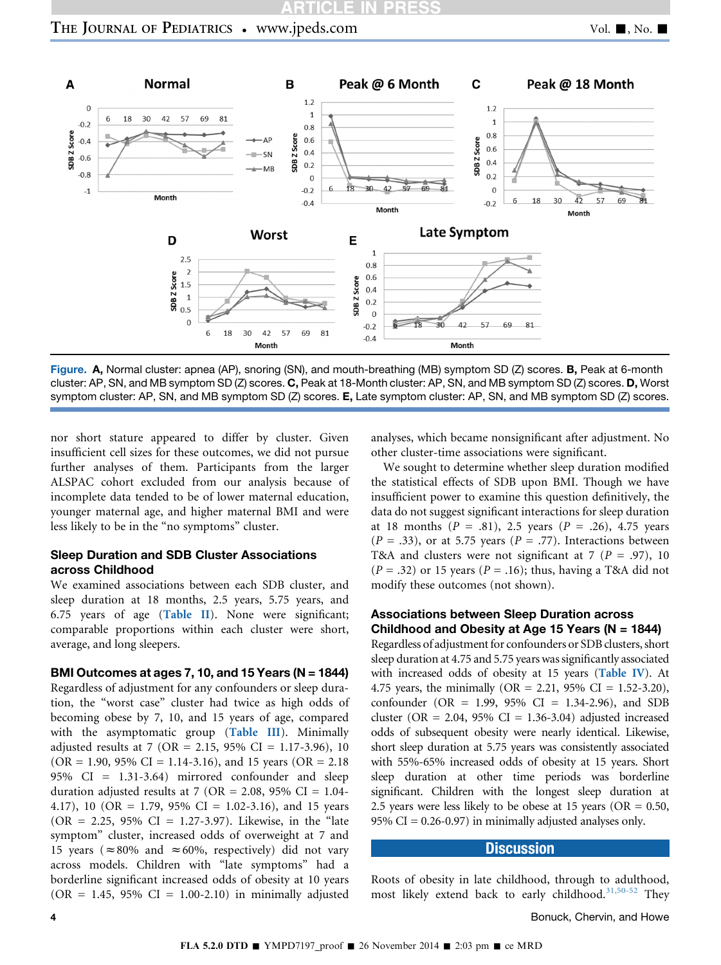<span id="page-3-0"></span>

Figure. A, Normal cluster: apnea (AP), snoring (SN), and mouth-breathing (MB) symptom SD (Z) scores. B, Peak at 6-month cluster: AP, SN, and MB symptom SD (Z) scores. C, Peak at 18-Month cluster: AP, SN, and MB symptom SD (Z) scores. D, Worst symptom cluster: AP, SN, and MB symptom SD (Z) scores. E, Late symptom cluster: AP, SN, and MB symptom SD (Z) scores.

nor short stature appeared to differ by cluster. Given insufficient cell sizes for these outcomes, we did not pursue further analyses of them. Participants from the larger ALSPAC cohort excluded from our analysis because of incomplete data tended to be of lower maternal education, younger maternal age, and higher maternal BMI and were less likely to be in the "no symptoms" cluster.

#### Sleep Duration and SDB Cluster Associations across Childhood

We examined associations between each SDB cluster, and sleep duration at 18 months, 2.5 years, 5.75 years, and 6.75 years of age ([Table II](#page-4-0)). None were significant; comparable proportions within each cluster were short, average, and long sleepers.

#### BMI Outcomes at ages 7, 10, and 15 Years (N = 1844)

Regardless of adjustment for any confounders or sleep duration, the "worst case" cluster had twice as high odds of becoming obese by 7, 10, and 15 years of age, compared with the asymptomatic group ([Table III](#page-4-0)). Minimally adjusted results at 7 (OR = 2.15, 95% CI = 1.17-3.96), 10  $(OR = 1.90, 95\% \text{ CI} = 1.14-3.16)$ , and 15 years  $(OR = 2.18$ 95% CI = 1.31-3.64) mirrored confounder and sleep duration adjusted results at 7 (OR = 2.08, 95% CI = 1.04-4.17), 10 (OR = 1.79, 95% CI = 1.02-3.16), and 15 years  $(OR = 2.25, 95\% \text{ CI} = 1.27-3.97)$ . Likewise, in the "late symptom" cluster, increased odds of overweight at 7 and 15 years ( $\approx 80\%$  and  $\approx 60\%$ , respectively) did not vary across models. Children with "late symptoms" had a borderline significant increased odds of obesity at 10 years  $(OR = 1.45, 95\% CI = 1.00-2.10)$  in minimally adjusted

analyses, which became nonsignificant after adjustment. No other cluster-time associations were significant.

We sought to determine whether sleep duration modified the statistical effects of SDB upon BMI. Though we have insufficient power to examine this question definitively, the data do not suggest significant interactions for sleep duration at 18 months ( $P = .81$ ), 2.5 years ( $P = .26$ ), 4.75 years  $(P = .33)$ , or at 5.75 years  $(P = .77)$ . Interactions between T&A and clusters were not significant at 7 ( $P = .97$ ), 10  $(P = .32)$  or 15 years  $(P = .16)$ ; thus, having a T&A did not modify these outcomes (not shown).

### Associations between Sleep Duration across Childhood and Obesity at Age 15 Years ( $N = 1844$ )

Regardless of adjustment for confounders or SDB clusters, short sleep duration at 4.75 and 5.75 years was significantly associated with increased odds of obesity at 15 years ([Table IV](#page-5-0)). At 4.75 years, the minimally (OR = 2.21, 95% CI = 1.52-3.20), confounder ( $OR = 1.99$ ,  $95\%$  CI = 1.34-2.96), and SDB cluster (OR = 2.04, 95% CI = 1.36-3.04) adjusted increased odds of subsequent obesity were nearly identical. Likewise, short sleep duration at 5.75 years was consistently associated with 55%-65% increased odds of obesity at 15 years. Short sleep duration at other time periods was borderline significant. Children with the longest sleep duration at 2.5 years were less likely to be obese at 15 years ( $OR = 0.50$ , 95% CI =  $0.26 - 0.97$ ) in minimally adjusted analyses only.

### **Discussion**

Roots of obesity in late childhood, through to adulthood, most likely extend back to early childhood.<sup>[31,50-52](#page-7-0)</sup> They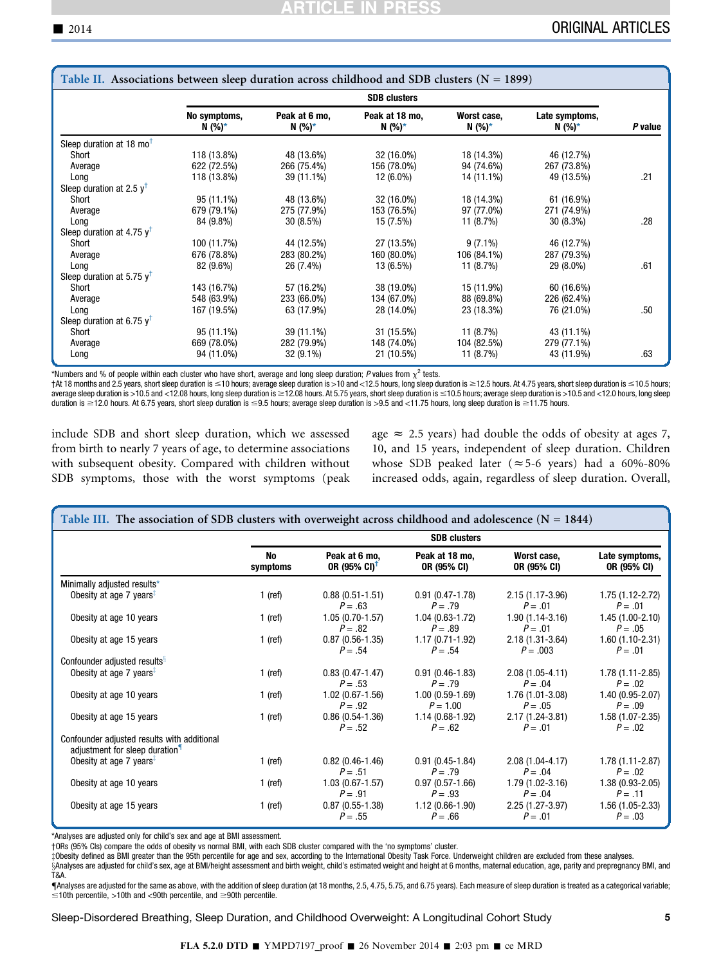<span id="page-4-0"></span>

| Table II. Associations between sleep duration across childhood and SDB clusters ( $N = 1899$ ) |                          |                         |                          |                         |                          |         |
|------------------------------------------------------------------------------------------------|--------------------------|-------------------------|--------------------------|-------------------------|--------------------------|---------|
|                                                                                                | <b>SDB</b> clusters      |                         |                          |                         |                          |         |
|                                                                                                | No symptoms,<br>$N(%)^*$ | Peak at 6 mo,<br>N (%)* | Peak at 18 mo,<br>N (%)* | Worst case,<br>$N(%)^*$ | Late symptoms,<br>N (%)* | P value |
| Sleep duration at 18 $mo†$                                                                     |                          |                         |                          |                         |                          |         |
| Short                                                                                          | 118 (13.8%)              | 48 (13.6%)              | 32 (16.0%)               | 18 (14.3%)              | 46 (12.7%)               |         |
| Average                                                                                        | 622 (72.5%)              | 266 (75.4%)             | 156 (78.0%)              | 94 (74.6%)              | 267 (73.8%)              |         |
| Long                                                                                           | 118 (13.8%)              | 39 (11.1%)              | 12 (6.0%)                | 14 (11.1%)              | 49 (13.5%)               | .21     |
| Sleep duration at 2.5 $y^{\dagger}$                                                            |                          |                         |                          |                         |                          |         |
| Short                                                                                          | 95 (11.1%)               | 48 (13.6%)              | 32 (16.0%)               | 18 (14.3%)              | 61 (16.9%)               |         |
| Average                                                                                        | 679 (79.1%)              | 275 (77.9%)             | 153 (76.5%)              | 97 (77.0%)              | 271 (74.9%)              |         |
| Long                                                                                           | 84 (9.8%)                | $30(8.5\%)$             | 15 (7.5%)                | 11 (8.7%)               | $30(8.3\%)$              | .28     |
| Sleep duration at 4.75 $v^T$                                                                   |                          |                         |                          |                         |                          |         |
| Short                                                                                          | 100 (11.7%)              | 44 (12.5%)              | 27 (13.5%)               | $9(7.1\%)$              | 46 (12.7%)               |         |
| Average                                                                                        | 676 (78.8%)              | 283 (80.2%)             | 160 (80.0%)              | 106 (84.1%)             | 287 (79.3%)              |         |
| Long                                                                                           | 82 (9.6%)                | 26 (7.4%)               | 13 (6.5%)                | 11 (8.7%)               | 29 (8.0%)                | .61     |
| Sleep duration at 5.75 $v^{\dagger}$                                                           |                          |                         |                          |                         |                          |         |
| Short                                                                                          | 143 (16.7%)              | 57 (16.2%)              | 38 (19.0%)               | 15 (11.9%)              | 60 (16.6%)               |         |
| Average                                                                                        | 548 (63.9%)              | 233 (66.0%)             | 134 (67.0%)              | 88 (69.8%)              | 226 (62.4%)              |         |
| Long                                                                                           | 167 (19.5%)              | 63 (17.9%)              | 28 (14.0%)               | 23 (18.3%)              | 76 (21.0%)               | .50     |
| Sleep duration at 6.75 $v^T$                                                                   |                          |                         |                          |                         |                          |         |
| Short                                                                                          | 95 (11.1%)               | 39 (11.1%)              | 31 (15.5%)               | 11 (8.7%)               | 43 (11.1%)               |         |
| Average                                                                                        | 669 (78.0%)              | 282 (79.9%)             | 148 (74.0%)              | 104 (82.5%)             | 279 (77.1%)              |         |
| Long                                                                                           | 94 (11.0%)               | 32 (9.1%)               | 21 (10.5%)               | 11 (8.7%)               | 43 (11.9%)               | .63     |

\*Numbers and % of people within each cluster who have short, average and long sleep duration; P values from  $\chi^2$  tests.

†At 18 months and 2.5 years, short sleep duration is ≤10 hours; average sleep duration is >10 and <12.5 hours, long sleep duration is ≥12.5 hours. average sleep duration is ≤10.5 hours; average sleep duration is >10.5 and duration is  $\geq$ 12.0 hours. At 6.75 years, short sleep duration is  $\leq$ 9.5 hours; average sleep duration is  $>$ 9.5 and <11.75 hours, long sleep duration is  $\geq$ 11.75 hours.

include SDB and short sleep duration, which we assessed from birth to nearly 7 years of age, to determine associations with subsequent obesity. Compared with children without SDB symptoms, those with the worst symptoms (peak age  $\approx$  2.5 years) had double the odds of obesity at ages 7, 10, and 15 years, independent of sleep duration. Children whose SDB peaked later ( $\approx$  5-6 years) had a 60%-80% increased odds, again, regardless of sleep duration. Overall,

| Table III. The association of SDB clusters with overweight across childhood and adolescence ( $N = 1844$ ) |                     |                                           |                                  |                                   |                                  |
|------------------------------------------------------------------------------------------------------------|---------------------|-------------------------------------------|----------------------------------|-----------------------------------|----------------------------------|
|                                                                                                            | <b>SDB</b> clusters |                                           |                                  |                                   |                                  |
|                                                                                                            | No<br>symptoms      | Peak at 6 mo,<br>OR (95% CI) <sup>†</sup> | Peak at 18 mo,<br>OR (95% CI)    | Worst case.<br>OR (95% CI)        | Late symptoms,<br>OR (95% CI)    |
| Minimally adjusted results*                                                                                |                     |                                           |                                  |                                   |                                  |
| Obesity at age 7 years <sup><math>#</math></sup>                                                           | $1$ (ref)           | $0.88(0.51-1.51)$<br>$P = .63$            | $0.91(0.47-1.78)$<br>$P = .79$   | $2.15(1.17-3.96)$<br>$P = .01$    | 1.75 (1.12-2.72)<br>$P = .01$    |
| Obesity at age 10 years                                                                                    | $1$ (ref)           | $1.05(0.70-1.57)$<br>$P = .82$            | $1.04(0.63-1.72)$<br>$P = .89$   | $1.90(1.14-3.16)$<br>$P = .01$    | $1.45(1.00-2.10)$<br>$P = .05$   |
| Obesity at age 15 years                                                                                    | $1$ (ref)           | $0.87(0.56-1.35)$<br>$P = .54$            | $1.17(0.71 - 1.92)$<br>$P = .54$ | $2.18(1.31 - 3.64)$<br>$P = .003$ | $1.60(1.10-2.31)$<br>$P = .01$   |
| Confounder adjusted results <sup>§</sup>                                                                   |                     |                                           |                                  |                                   |                                  |
| Obesity at age 7 years <sup><math>\overline{z}</math></sup>                                                | $1$ (ref)           | $0.83(0.47-1.47)$<br>$P = .53$            | $0.91(0.46-1.83)$<br>$P = .79$   | $2.08(1.05 - 4.11)$<br>$P = .04$  | $1.78(1.11 - 2.85)$<br>$P = .02$ |
| Obesity at age 10 years                                                                                    | $1$ (ref)           | $1.02(0.67 - 1.56)$<br>$P = .92$          | $1.00(0.59-1.69)$<br>$P = 1.00$  | 1.76 (1.01-3.08)<br>$P = .05$     | 1.40 (0.95-2.07)<br>$P = .09$    |
| Obesity at age 15 years                                                                                    | $1$ (ref)           | $0.86(0.54-1.36)$<br>$P = .52$            | $1.14(0.68-1.92)$<br>$P = .62$   | $2.17(1.24 - 3.81)$<br>$P = .01$  | 1.58 (1.07-2.35)<br>$P = .02$    |
| Confounder adjusted results with additional<br>adjustment for sleep duration <sup>1</sup>                  |                     |                                           |                                  |                                   |                                  |
| Obesity at age 7 years <sup><math>\frac{1}{2}</math></sup>                                                 | $1$ (ref)           | $0.82(0.46-1.46)$<br>$P = .51$            | $0.91(0.45-1.84)$<br>$P = .79$   | 2.08 (1.04-4.17)<br>$P = .04$     | $1.78(1.11 - 2.87)$<br>$P = .02$ |
| Obesity at age 10 years                                                                                    | $1$ (ref)           | $1.03(0.67 - 1.57)$<br>$P = .91$          | $0.97(0.57-1.66)$<br>$P = .93$   | 1.79 (1.02-3.16)<br>$P = .04$     | $1.38(0.93 - 2.05)$<br>$P = .11$ |
| Obesity at age 15 years                                                                                    | $1$ (ref)           | $0.87(0.55-1.38)$<br>$P = .55$            | $1.12(0.66-1.90)$<br>$P = .66$   | $2.25(1.27-3.97)$<br>$P = .01$    | $1.56(1.05-2.33)$<br>$P = .03$   |

\*Analyses are adjusted only for child's sex and age at BMI assessment.

†ORs (95% CIs) compare the odds of obesity vs normal BMI, with each SDB cluster compared with the 'no symptoms' cluster.

zObesity defined as BMI greater than the 95th percentile for age and sex, according to the International Obesity Task Force. Underweight children are excluded from these analyses.

§Analyses are adjusted for child's sex, age at BMI/height assessment and birth weight, child's estimated weight and height at 6 months, maternal education, age, parity and prepregnancy BMI, and T&A.

{Analyses are adjusted for the same as above, with the addition of sleep duration (at 18 months, 2.5, 4.75, 5.75, and 6.75 years). Each measure of sleep duration is treated as a categorical variable;  $\leq$ 10th percentile, >10th and <90th percentile, and  $\geq$ 90th percentile.

Sleep-Disordered Breathing, Sleep Duration, and Childhood Overweight: A Longitudinal Cohort Study 5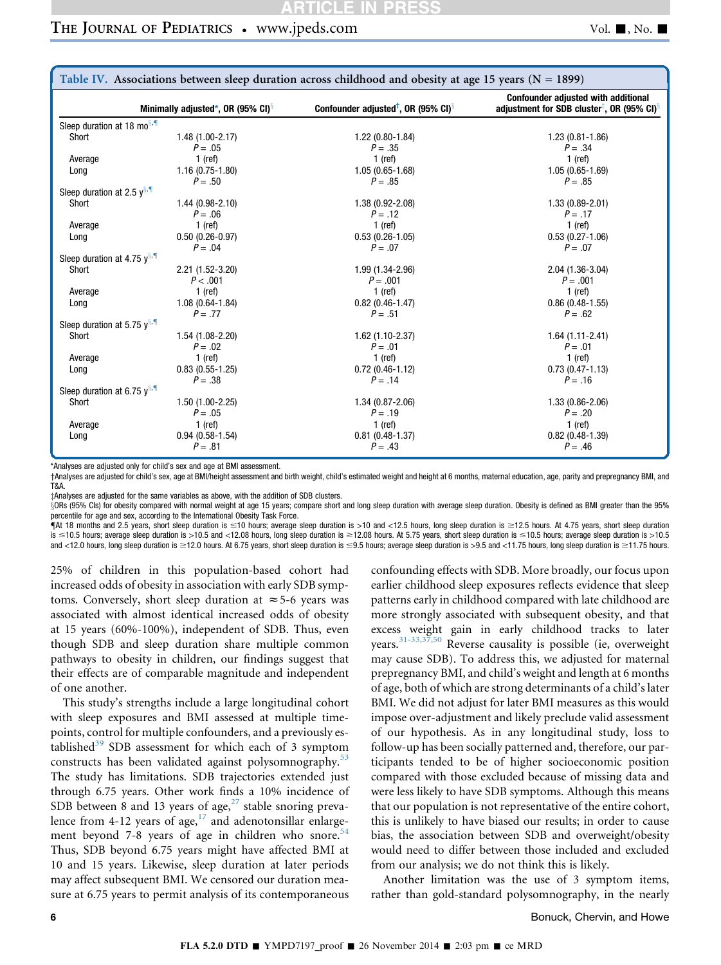## <span id="page-5-0"></span>THE JOURNAL OF PEDIATRICS • www.jpeds.com Vol. 1, No. 1

| Table IV. Associations between sleep duration across childhood and obesity at age 15 years ( $N = 1899$ ) |                                                |                                                             |                                                                                                                  |  |  |
|-----------------------------------------------------------------------------------------------------------|------------------------------------------------|-------------------------------------------------------------|------------------------------------------------------------------------------------------------------------------|--|--|
|                                                                                                           | Minimally adjusted*, OR (95% CI) $\frac{8}{3}$ | Confounder adjusted <sup>†</sup> , OR (95% CI) <sup>§</sup> | <b>Confounder adjusted with additional</b><br>adjustment for SDB cluster <sup>‡</sup> , OR (95% CI) <sup>§</sup> |  |  |
| Sleep duration at 18 mo <sup>s, 1</sup>                                                                   |                                                |                                                             |                                                                                                                  |  |  |
| Short                                                                                                     | 1.48 (1.00-2.17)<br>$P = .05$                  | $1.22(0.80-1.84)$<br>$P = .35$                              | $1.23(0.81 - 1.86)$<br>$P = .34$                                                                                 |  |  |
| Average                                                                                                   | $1$ (ref)                                      | $1$ (ref)                                                   | $1$ (ref)                                                                                                        |  |  |
| Long                                                                                                      | $1.16(0.75-1.80)$<br>$P = .50$                 | $1.05(0.65 - 1.68)$<br>$P = .85$                            | $1.05(0.65 - 1.69)$<br>$P = .85$                                                                                 |  |  |
| Sleep duration at 2.5 $y^{8.1}$                                                                           |                                                |                                                             |                                                                                                                  |  |  |
| Short                                                                                                     | 1.44 (0.98-2.10)<br>$P = .06$                  | 1.38 (0.92-2.08)<br>$P = .12$                               | $1.33(0.89 - 2.01)$<br>$P = .17$                                                                                 |  |  |
| Average                                                                                                   | $1$ (ref)                                      | $1$ (ref)                                                   | $1$ (ref)                                                                                                        |  |  |
| Long                                                                                                      | $0.50(0.26-0.97)$<br>$P = .04$                 | $0.53(0.26-1.05)$<br>$P = .07$                              | $0.53(0.27-1.06)$<br>$P = .07$                                                                                   |  |  |
| Sleep duration at 4.75 $y^{\S, \P}$                                                                       |                                                |                                                             |                                                                                                                  |  |  |
| Short                                                                                                     | 2.21 (1.52-3.20)<br>P < .001                   | 1.99 (1.34-2.96)<br>$P = .001$                              | 2.04 (1.36-3.04)<br>$P = .001$                                                                                   |  |  |
| Average                                                                                                   | $1$ (ref)                                      | $1$ (ref)                                                   | $1$ (ref)                                                                                                        |  |  |
| Long                                                                                                      | $1.08(0.64 - 1.84)$<br>$P = .77$               | $0.82(0.46-1.47)$<br>$P = .51$                              | $0.86(0.48-1.55)$<br>$P = .62$                                                                                   |  |  |
| Sleep duration at 5.75 $v^{8.}$                                                                           |                                                |                                                             |                                                                                                                  |  |  |
| Short                                                                                                     | 1.54 (1.08-2.20)<br>$P = .02$                  | $1.62(1.10-2.37)$<br>$P = .01$                              | $1.64(1.11-2.41)$<br>$P = .01$                                                                                   |  |  |
| Average                                                                                                   | $1$ (ref)                                      | $1$ (ref)                                                   | $1$ (ref)                                                                                                        |  |  |
| Long                                                                                                      | $0.83(0.55-1.25)$<br>$P = .38$                 | $0.72(0.46-1.12)$<br>$P = .14$                              | $0.73(0.47 - 1.13)$<br>$P = .16$                                                                                 |  |  |
| Sleep duration at 6.75 $v^{s}$ .                                                                          |                                                |                                                             |                                                                                                                  |  |  |
| Short                                                                                                     | $1.50(1.00-2.25)$<br>$P = .05$                 | $1.34(0.87 - 2.06)$<br>$P = .19$                            | 1.33 (0.86-2.06)<br>$P = .20$                                                                                    |  |  |
| Average                                                                                                   | $1$ (ref)                                      | $1$ (ref)                                                   | 1 (ref)                                                                                                          |  |  |
| Long                                                                                                      | $0.94(0.58-1.54)$<br>$P = .81$                 | $0.81(0.48-1.37)$<br>$P = .43$                              | $0.82(0.48-1.39)$<br>$P = .46$                                                                                   |  |  |

\*Analyses are adjusted only for child's sex and age at BMI assessment.

†Analyses are adjusted for child's sex, age at BMI/height assessment and birth weight, child's estimated weight and height at 6 months, maternal education, age, parity and prepregnancy BMI, and T&A.

zAnalyses are adjusted for the same variables as above, with the addition of SDB clusters.

xORs (95% CIs) for obesity compared with normal weight at age 15 years; compare short and long sleep duration with average sleep duration. Obesity is defined as BMI greater than the 95% percentile for age and sex, according to the International Obesity Task Force.

 $\P$ At 18 months and 2.5 years, short sleep duration is  $\leq$ 10 hours; average sleep duration is >10 and <12.5 hours, long sleep duration is  $\geq$ 12.5 hours. At 4.75 years, short sleep duration  $s \le 10.5$  hours; average sleep duration is >10.5 and <12.08 hours, long sleep duration is  $\ge 12.08$  hours. At 5.75 years, short sleep duration is  $\le 10.5$  hours; average sleep duration is >10.5 and <12.0 hours, long sleep duration is ≥12.0 hours. At 6.75 years, short sleep duration is ≤9.5 hours; average sleep duration is >9.5 and <11.75 hours, long sleep duration is ≥11.75 hours.

25% of children in this population-based cohort had increased odds of obesity in association with early SDB symptoms. Conversely, short sleep duration at  $\approx$  5-6 years was associated with almost identical increased odds of obesity at 15 years (60%-100%), independent of SDB. Thus, even though SDB and sleep duration share multiple common pathways to obesity in children, our findings suggest that their effects are of comparable magnitude and independent of one another.

This study's strengths include a large longitudinal cohort with sleep exposures and BMI assessed at multiple timepoints, control for multiple confounders, and a previously established $39$  SDB assessment for which each of 3 symptom constructs has been validated against polysomnography.<sup>[53](#page-7-0)</sup> The study has limitations. SDB trajectories extended just through 6.75 years. Other work finds a 10% incidence of SDB between 8 and 13 years of age, $27$  stable snoring preva-lence from 4-12 years of age,<sup>[17](#page-6-0)</sup> and adenotonsillar enlargement beyond 7-8 years of age in children who snore. $54$ Thus, SDB beyond 6.75 years might have affected BMI at 10 and 15 years. Likewise, sleep duration at later periods may affect subsequent BMI. We censored our duration measure at 6.75 years to permit analysis of its contemporaneous

confounding effects with SDB. More broadly, our focus upon earlier childhood sleep exposures reflects evidence that sleep patterns early in childhood compared with late childhood are more strongly associated with subsequent obesity, and that excess weight gain in early childhood tracks to later years.[31-33,37,50](#page-7-0) Reverse causality is possible (ie, overweight may cause SDB). To address this, we adjusted for maternal prepregnancy BMI, and child's weight and length at 6 months of age, both of which are strong determinants of a child's later BMI. We did not adjust for later BMI measures as this would impose over-adjustment and likely preclude valid assessment of our hypothesis. As in any longitudinal study, loss to follow-up has been socially patterned and, therefore, our participants tended to be of higher socioeconomic position compared with those excluded because of missing data and were less likely to have SDB symptoms. Although this means that our population is not representative of the entire cohort, this is unlikely to have biased our results; in order to cause bias, the association between SDB and overweight/obesity would need to differ between those included and excluded from our analysis; we do not think this is likely.

Another limitation was the use of 3 symptom items, rather than gold-standard polysomnography, in the nearly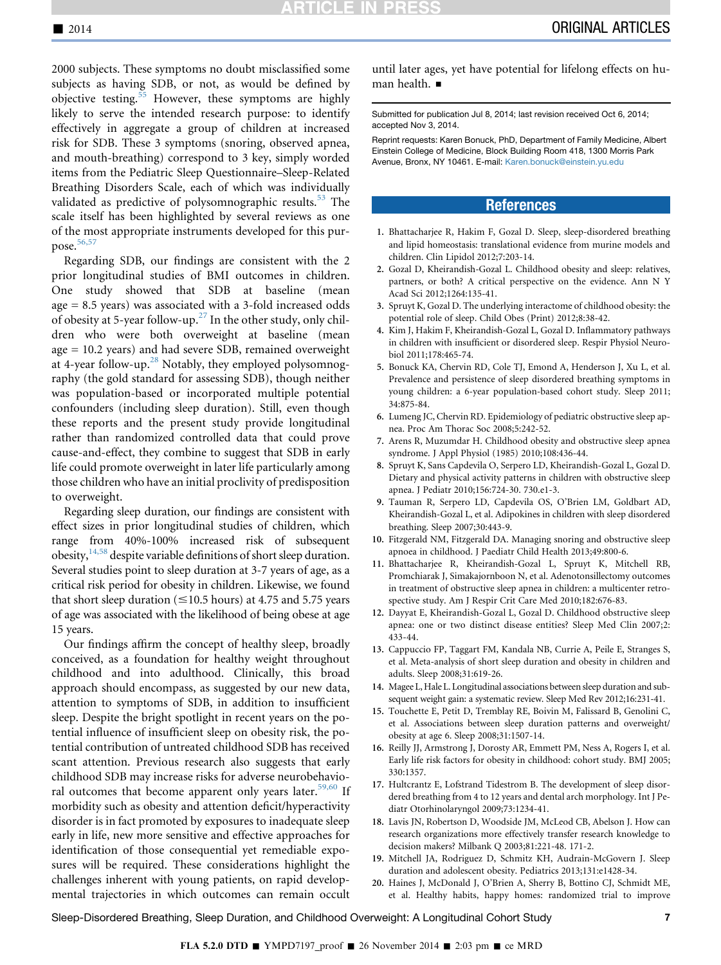<span id="page-6-0"></span>2000 subjects. These symptoms no doubt misclassified some subjects as having SDB, or not, as would be defined by objective testing.<sup>[55](#page-7-0)</sup> However, these symptoms are highly likely to serve the intended research purpose: to identify effectively in aggregate a group of children at increased risk for SDB. These 3 symptoms (snoring, observed apnea, and mouth-breathing) correspond to 3 key, simply worded items from the Pediatric Sleep Questionnaire–Sleep-Related Breathing Disorders Scale, each of which was individually validated as predictive of polysomnographic results.<sup>[53](#page-7-0)</sup> The scale itself has been highlighted by several reviews as one of the most appropriate instruments developed for this purpose. $56,57$ 

Regarding SDB, our findings are consistent with the 2 prior longitudinal studies of BMI outcomes in children. One study showed that SDB at baseline (mean age = 8.5 years) was associated with a 3-fold increased odds of obesity at 5-year follow-up.<sup>[27](#page-7-0)</sup> In the other study, only children who were both overweight at baseline (mean age = 10.2 years) and had severe SDB, remained overweight at 4-year follow-up.<sup>[28](#page-7-0)</sup> Notably, they employed polysomnography (the gold standard for assessing SDB), though neither was population-based or incorporated multiple potential confounders (including sleep duration). Still, even though these reports and the present study provide longitudinal rather than randomized controlled data that could prove cause-and-effect, they combine to suggest that SDB in early life could promote overweight in later life particularly among those children who have an initial proclivity of predisposition to overweight.

Regarding sleep duration, our findings are consistent with effect sizes in prior longitudinal studies of children, which range from 40%-100% increased risk of subsequent obesity, $14,58$  despite variable definitions of short sleep duration. Several studies point to sleep duration at 3-7 years of age, as a critical risk period for obesity in children. Likewise, we found that short sleep duration ( $\leq$ 10.5 hours) at 4.75 and 5.75 years of age was associated with the likelihood of being obese at age 15 years.

Our findings affirm the concept of healthy sleep, broadly conceived, as a foundation for healthy weight throughout childhood and into adulthood. Clinically, this broad approach should encompass, as suggested by our new data, attention to symptoms of SDB, in addition to insufficient sleep. Despite the bright spotlight in recent years on the potential influence of insufficient sleep on obesity risk, the potential contribution of untreated childhood SDB has received scant attention. Previous research also suggests that early childhood SDB may increase risks for adverse neurobehavio-ral outcomes that become apparent only years later.<sup>[59,60](#page-7-0)</sup> If morbidity such as obesity and attention deficit/hyperactivity disorder is in fact promoted by exposures to inadequate sleep early in life, new more sensitive and effective approaches for identification of those consequential yet remediable exposures will be required. These considerations highlight the challenges inherent with young patients, on rapid developmental trajectories in which outcomes can remain occult

until later ages, yet have potential for lifelong effects on human health.  $\blacksquare$ 

Submitted for publication Jul 8, 2014; last revision received Oct 6, 2014; accepted Nov 3, 2014.

Reprint requests: Karen Bonuck, PhD, Department of Family Medicine, Albert Einstein College of Medicine, Block Building Room 418, 1300 Morris Park Avenue, Bronx, NY 10461. E-mail: [Karen.bonuck@einstein.yu.edu](mailto:Karen.bonuck@einstein.yu.edu)

### **References**

- 1. Bhattacharjee R, Hakim F, Gozal D. Sleep, sleep-disordered breathing and lipid homeostasis: translational evidence from murine models and children. Clin Lipidol 2012;7:203-14.
- 2. Gozal D, Kheirandish-Gozal L. Childhood obesity and sleep: relatives, partners, or both? A critical perspective on the evidence. Ann N Y Acad Sci 2012;1264:135-41.
- 3. Spruyt K, Gozal D. The underlying interactome of childhood obesity: the potential role of sleep. Child Obes (Print) 2012;8:38-42.
- 4. Kim J, Hakim F, Kheirandish-Gozal L, Gozal D. Inflammatory pathways in children with insufficient or disordered sleep. Respir Physiol Neurobiol 2011;178:465-74.
- 5. Bonuck KA, Chervin RD, Cole TJ, Emond A, Henderson J, Xu L, et al. Prevalence and persistence of sleep disordered breathing symptoms in young children: a 6-year population-based cohort study. Sleep 2011; 34:875-84.
- 6. Lumeng JC, Chervin RD. Epidemiology of pediatric obstructive sleep apnea. Proc Am Thorac Soc 2008;5:242-52.
- 7. Arens R, Muzumdar H. Childhood obesity and obstructive sleep apnea syndrome. J Appl Physiol (1985) 2010;108:436-44.
- 8. Spruyt K, Sans Capdevila O, Serpero LD, Kheirandish-Gozal L, Gozal D. Dietary and physical activity patterns in children with obstructive sleep apnea. J Pediatr 2010;156:724-30. 730.e1-3.
- 9. Tauman R, Serpero LD, Capdevila OS, O'Brien LM, Goldbart AD, Kheirandish-Gozal L, et al. Adipokines in children with sleep disordered breathing. Sleep 2007;30:443-9.
- 10. Fitzgerald NM, Fitzgerald DA. Managing snoring and obstructive sleep apnoea in childhood. J Paediatr Child Health 2013;49:800-6.
- 11. Bhattacharjee R, Kheirandish-Gozal L, Spruyt K, Mitchell RB, Promchiarak J, Simakajornboon N, et al. Adenotonsillectomy outcomes in treatment of obstructive sleep apnea in children: a multicenter retrospective study. Am J Respir Crit Care Med 2010;182:676-83.
- 12. Dayyat E, Kheirandish-Gozal L, Gozal D. Childhood obstructive sleep apnea: one or two distinct disease entities? Sleep Med Clin 2007;2: 433-44.
- 13. Cappuccio FP, Taggart FM, Kandala NB, Currie A, Peile E, Stranges S, et al. Meta-analysis of short sleep duration and obesity in children and adults. Sleep 2008;31:619-26.
- 14. Magee L, Hale L. Longitudinal associations between sleep duration and subsequent weight gain: a systematic review. Sleep Med Rev 2012;16:231-41.
- 15. Touchette E, Petit D, Tremblay RE, Boivin M, Falissard B, Genolini C, et al. Associations between sleep duration patterns and overweight/ obesity at age 6. Sleep 2008;31:1507-14.
- 16. Reilly JJ, Armstrong J, Dorosty AR, Emmett PM, Ness A, Rogers I, et al. Early life risk factors for obesity in childhood: cohort study. BMJ 2005; 330:1357.
- 17. Hultcrantz E, Lofstrand Tidestrom B. The development of sleep disordered breathing from 4 to 12 years and dental arch morphology. Int J Pediatr Otorhinolaryngol 2009;73:1234-41.
- 18. Lavis JN, Robertson D, Woodside JM, McLeod CB, Abelson J. How can research organizations more effectively transfer research knowledge to decision makers? Milbank Q 2003;81:221-48. 171-2.
- 19. Mitchell JA, Rodriguez D, Schmitz KH, Audrain-McGovern J. Sleep duration and adolescent obesity. Pediatrics 2013;131:e1428-34.
- 20. Haines J, McDonald J, O'Brien A, Sherry B, Bottino CJ, Schmidt ME, et al. Healthy habits, happy homes: randomized trial to improve

Sleep-Disordered Breathing, Sleep Duration, and Childhood Overweight: A Longitudinal Cohort Study 7